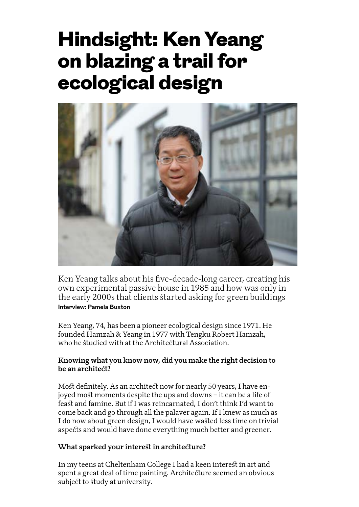# Hindsight: Ken Yeang on blazing a trail for ecological design



Ken Yeang talks about his five-decade-long career, creating his own experimental passive house in 1985 and how was only in the early 2000s that clients started asking for green buildings **Interview: Pamela Buxton** 

Ken Yeang, 74, has been a pioneer ecological design since 1971. He founded Hamzah & Yeang in 1977 with Tengku Robert Hamzah, who he studied with at the Architectural Association.

## **Knowing what you know now, did you make the right decision to be an architect?**

Most definitely. As an architect now for nearly 50 years, I have enjoyed most moments despite the ups and downs – it can be a life of feast and famine. But if I was reincarnated, I don't think I'd want to come back and go through all the palaver again. If I knew as much as I do now about green design, I would have wasted less time on trivial aspects and would have done everything much better and greener.

#### **What sparked your interest in architecture?**

In my teens at Cheltenham College I had a keen interest in art and spent a great deal of time painting. Architecture seemed an obvious subject to study at university.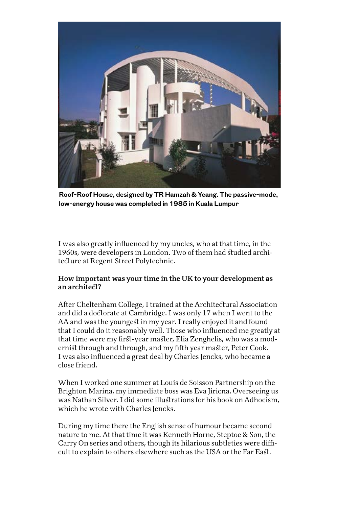

**Roof-Roof House, designed by TR Hamzah & Yeang. The passive-mode, low-energy house was completed in 1985 in Kuala Lumpur**

I was also greatly influenced by my uncles, who at that time, in the 1960s, were developers in London. Two of them had studied architecture at Regent Street Polytechnic.

#### **How important was your time in the UK to your development as an architect?**

After Cheltenham College, I trained at the Architectural Association and did a doctorate at Cambridge. I was only 17 when I went to the AA and was the youngest in my year. I really enjoyed it and found that I could do it reasonably well. Those who influenced me greatly at that time were my first-year master, Elia Zenghelis, who was a modernist through and through, and my fifth year master, Peter Cook. I was also influenced a great deal by Charles Jencks, who became a close friend.

When I worked one summer at Louis de Soisson Partnership on the Brighton Marina, my immediate boss was Eva Jiricna. Overseeing us was Nathan Silver. I did some illustrations for his book on Adhocism, which he wrote with Charles Jencks.

During my time there the English sense of humour became second nature to me. At that time it was Kenneth Horne, Steptoe & Son, the Carry On series and others, though its hilarious subtleties were difficult to explain to others elsewhere such as the USA or the Far East.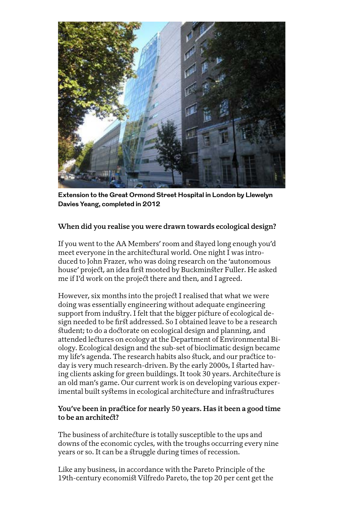

**Extension to the Great Ormond Street Hospital in London by Llewelyn Davies Yeang, completed in 2012**

## **When did you realise you were drawn towards ecological design?**

If you went to the AA Members' room and stayed long enough you'd meet everyone in the architectural world. One night I was introduced to John Frazer, who was doing research on the 'autonomous house' project, an idea first mooted by Buckminster Fuller. He asked me if I'd work on the project there and then, and I agreed.

However, six months into the project I realised that what we were doing was essentially engineering without adequate engineering support from industry. I felt that the bigger picture of ecological design needed to be first addressed. So I obtained leave to be a research student; to do a doctorate on ecological design and planning, and attended lectures on ecology at the Department of Environmental Biology. Ecological design and the sub-set of bioclimatic design became my life's agenda. The research habits also stuck, and our practice today is very much research-driven. By the early 2000s, I started having clients asking for green buildings. It took 30 years. Architecture is an old man's game. Our current work is on developing various experimental built systems in ecological architecture and infrastructures

#### **You've been in practice for nearly 50 years. Has it been a good time to be an architect?**

The business of architecture is totally susceptible to the ups and downs of the economic cycles, with the troughs occurring every nine years or so. It can be a struggle during times of recession.

Like any business, in accordance with the Pareto Principle of the 19th-century economist Vilfredo Pareto, the top 20 per cent get the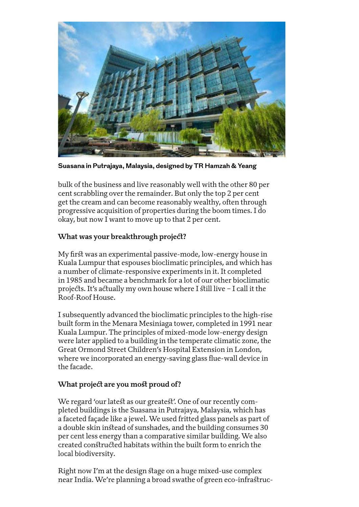

**Suasana in Putrajaya, Malaysia, designed by TR Hamzah & Yeang**

bulk of the business and live reasonably well with the other 80 per cent scrabbling over the remainder. But only the top 2 per cent get the cream and can become reasonably wealthy, often through progressive acquisition of properties during the boom times. I do okay, but now I want to move up to that 2 per cent.

## **What was your breakthrough project?**

My first was an experimental passive-mode, low-energy house in Kuala Lumpur that espouses bioclimatic principles, and which has a number of climate-responsive experiments in it. It completed in 1985 and became a benchmark for a lot of our other bioclimatic projects. It's actually my own house where I still live – I call it the Roof-Roof House.

I subsequently advanced the bioclimatic principles to the high-rise built form in the Menara Mesiniaga tower, completed in 1991 near Kuala Lumpur. The principles of mixed-mode low-energy design were later applied to a building in the temperate climatic zone, the Great Ormond Street Children's Hospital Extension in London, where we incorporated an energy-saving glass flue-wall device in the facade.

#### **What project are you most proud of?**

We regard 'our latest as our greatest'. One of our recently completed buildings is the Suasana in Putrajaya, Malaysia, which has a faceted façade like a jewel. We used fritted glass panels as part of a double skin instead of sunshades, and the building consumes 30 per cent less energy than a comparative similar building. We also created constructed habitats within the built form to enrich the local biodiversity.

Right now I'm at the design stage on a huge mixed-use complex near India. We're planning a broad swathe of green eco-infrastruc-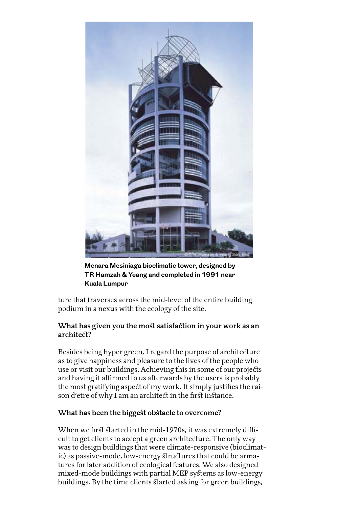

**Menara Mesiniaga bioclimatic tower, designed by TR Hamzah & Yeang and completed in 1991 near Kuala Lumpur**

ture that traverses across the mid-level of the entire building podium in a nexus with the ecology of the site.

#### **What has given you the most satisfaction in your work as an architect?**

Besides being hyper green, I regard the purpose of architecture as to give happiness and pleasure to the lives of the people who use or visit our buildings. Achieving this in some of our projects and having it affirmed to us afterwards by the users is probably the most gratifying aspect of my work. It simply justifies the raison d'etre of why I am an architect in the first instance.

#### **What has been the biggest obstacle to overcome?**

When we first started in the mid-1970s, it was extremely difficult to get clients to accept a green architecture. The only way was to design buildings that were climate-responsive (bioclimatic) as passive-mode, low-energy structures that could be armatures for later addition of ecological features. We also designed mixed-mode buildings with partial MEP systems as low-energy buildings. By the time clients started asking for green buildings,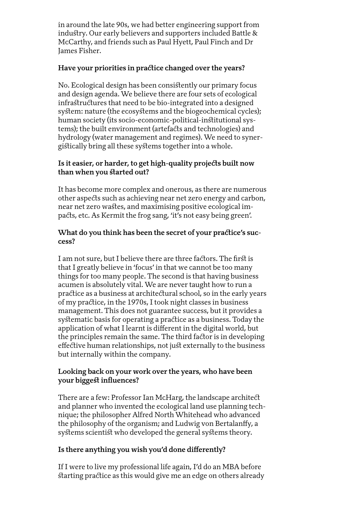in around the late 90s, we had better engineering support from industry. Our early believers and supporters included Battle & McCarthy, and friends such as Paul Hyett, Paul Finch and Dr James Fisher.

## **Have your priorities in practice changed over the years?**

No. Ecological design has been consistently our primary focus and design agenda. We believe there are four sets of ecological infrastructures that need to be bio-integrated into a designed system: nature (the ecosystems and the biogeochemical cycles); human society (its socio-economic-political-institutional systems); the built environment (artefacts and technologies) and hydrology (water management and regimes). We need to synergistically bring all these systems together into a whole.

## **Is it easier, or harder, to get high-quality projects built now than when you started out?**

It has become more complex and onerous, as there are numerous other aspects such as achieving near net zero energy and carbon, near net zero wastes, and maximising positive ecological impacts, etc. As Kermit the frog sang, 'it's not easy being green'.

#### **What do you think has been the secret of your practice's success?**

I am not sure, but I believe there are three factors. The first is that I greatly believe in 'focus' in that we cannot be too many things for too many people. The second is that having business acumen is absolutely vital. We are never taught how to run a practice as a business at architectural school, so in the early years of my practice, in the 1970s, I took night classes in business management. This does not guarantee success, but it provides a systematic basis for operating a practice as a business. Today the application of what I learnt is different in the digital world, but the principles remain the same. The third factor is in developing effective human relationships, not just externally to the business but internally within the company.

#### **Looking back on your work over the years, who have been your biggest influences?**

There are a few: Professor Ian McHarg, the landscape architect and planner who invented the ecological land use planning technique; the philosopher Alfred North Whitehead who advanced the philosophy of the organism; and Ludwig von Bertalanffy, a systems scientist who developed the general systems theory.

#### **Is there anything you wish you'd done differently?**

If I were to live my professional life again, I'd do an MBA before starting practice as this would give me an edge on others already